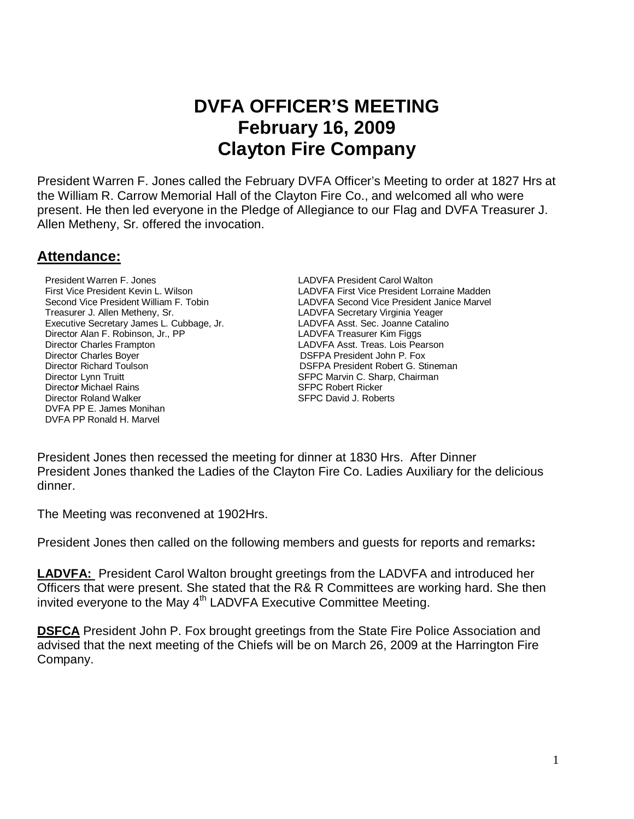# **DVFA OFFICER'S MEETING February 16, 2009 Clayton Fire Company**

President Warren F. Jones called the February DVFA Officer's Meeting to order at 1827 Hrs at the William R. Carrow Memorial Hall of the Clayton Fire Co., and welcomed all who were present. He then led everyone in the Pledge of Allegiance to our Flag and DVFA Treasurer J. Allen Metheny, Sr. offered the invocation.

#### **Attendance:**

President Warren F. Jones LADVFA President Carol Walton Treasurer J. Allen Metheny, Sr. LADVFA Secretary Virginia Yeager Executive Secretary James L. Cubbage, Jr. LADVFA Asst. Sec. Joanne Catalino Director Alan F. Robinson, Jr., PP LADVFA Treasurer Kim Figgs Director Charles Frampton LADVFA Asst. Treas. Lois Pearson Director Charles Boyer **Director Charles Boyer DIRECTION CONSTANT PRESIDENT DIRECTOR DIRECTOR DIRECTOR DIRECTOR OF DIRECTOR OF DIRECTOR OF DIRECTOR DIRECTOR OF DIRECTOR DIRECTOR OF DIRECTOR OF DIRECTOR DIRECTOR OF DIRECT**  Director Richard ToulsonDSFPA President Robert G. Stineman **Director Michael Rains SFPC Robert Ricker** SFPC Robert Ricker **Director Roland Walker SEPC David J. Roberts**  DVFA PP E. James Monihan DVFA PP Ronald H. Marvel

First Vice President Kevin L. Wilson Landen Landen Landen Caraine Madden Second Vice President Janice Marvel<br>LADVFA Second Vice President William F. Tobin Landen LADVFA Second Vice President Janice Marvel LADVFA Second Vice President Janice Marvel SFPC Marvin C. Sharp, Chairman

President Jones then recessed the meeting for dinner at 1830 Hrs. After Dinner President Jones thanked the Ladies of the Clayton Fire Co. Ladies Auxiliary for the delicious dinner.

The Meeting was reconvened at 1902Hrs.

President Jones then called on the following members and guests for reports and remarks**:** 

**LADVFA:** President Carol Walton brought greetings from the LADVFA and introduced her Officers that were present. She stated that the R& R Committees are working hard. She then invited everyone to the May 4<sup>th</sup> LADVFA Executive Committee Meeting.

**DSFCA** President John P. Fox brought greetings from the State Fire Police Association and advised that the next meeting of the Chiefs will be on March 26, 2009 at the Harrington Fire Company.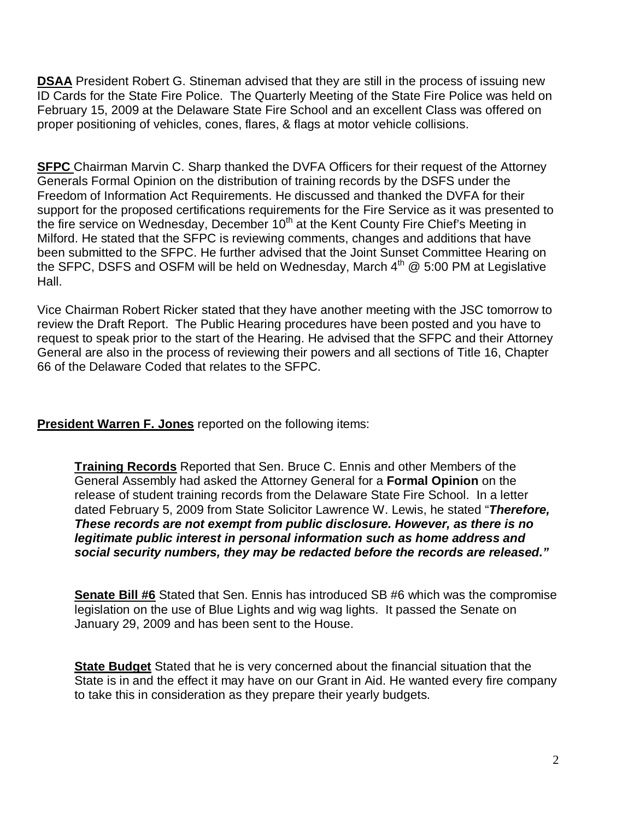**DSAA** President Robert G. Stineman advised that they are still in the process of issuing new ID Cards for the State Fire Police. The Quarterly Meeting of the State Fire Police was held on February 15, 2009 at the Delaware State Fire School and an excellent Class was offered on proper positioning of vehicles, cones, flares, & flags at motor vehicle collisions.

**SFPC** Chairman Marvin C. Sharp thanked the DVFA Officers for their request of the Attorney Generals Formal Opinion on the distribution of training records by the DSFS under the Freedom of Information Act Requirements. He discussed and thanked the DVFA for their support for the proposed certifications requirements for the Fire Service as it was presented to the fire service on Wednesday, December 10<sup>th</sup> at the Kent County Fire Chief's Meeting in Milford. He stated that the SFPC is reviewing comments, changes and additions that have been submitted to the SFPC. He further advised that the Joint Sunset Committee Hearing on the SFPC, DSFS and OSFM will be held on Wednesday, March  $4<sup>th</sup>$   $@$  5:00 PM at Legislative Hall.

Vice Chairman Robert Ricker stated that they have another meeting with the JSC tomorrow to review the Draft Report. The Public Hearing procedures have been posted and you have to request to speak prior to the start of the Hearing. He advised that the SFPC and their Attorney General are also in the process of reviewing their powers and all sections of Title 16, Chapter 66 of the Delaware Coded that relates to the SFPC.

**President Warren F. Jones** reported on the following items:

**Training Records** Reported that Sen. Bruce C. Ennis and other Members of the General Assembly had asked the Attorney General for a **Formal Opinion** on the release of student training records from the Delaware State Fire School. In a letter dated February 5, 2009 from State Solicitor Lawrence W. Lewis, he stated "**Therefore, These records are not exempt from public disclosure. However, as there is no legitimate public interest in personal information such as home address and social security numbers, they may be redacted before the records are released."** 

**Senate Bill #6** Stated that Sen. Ennis has introduced SB #6 which was the compromise legislation on the use of Blue Lights and wig wag lights. It passed the Senate on January 29, 2009 and has been sent to the House.

**State Budget** Stated that he is very concerned about the financial situation that the State is in and the effect it may have on our Grant in Aid. He wanted every fire company to take this in consideration as they prepare their yearly budgets.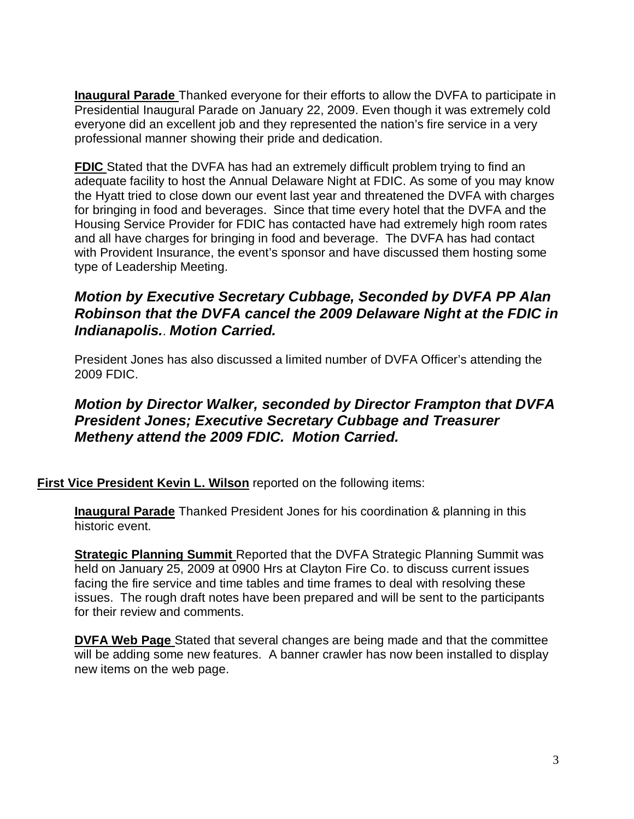**Inaugural Parade** Thanked everyone for their efforts to allow the DVFA to participate in Presidential Inaugural Parade on January 22, 2009. Even though it was extremely cold everyone did an excellent job and they represented the nation's fire service in a very professional manner showing their pride and dedication.

**FDIC** Stated that the DVFA has had an extremely difficult problem trying to find an adequate facility to host the Annual Delaware Night at FDIC. As some of you may know the Hyatt tried to close down our event last year and threatened the DVFA with charges for bringing in food and beverages. Since that time every hotel that the DVFA and the Housing Service Provider for FDIC has contacted have had extremely high room rates and all have charges for bringing in food and beverage. The DVFA has had contact with Provident Insurance, the event's sponsor and have discussed them hosting some type of Leadership Meeting.

## **Motion by Executive Secretary Cubbage, Seconded by DVFA PP Alan Robinson that the DVFA cancel the 2009 Delaware Night at the FDIC in Indianapolis.**. **Motion Carried.**

President Jones has also discussed a limited number of DVFA Officer's attending the 2009 FDIC.

### **Motion by Director Walker, seconded by Director Frampton that DVFA President Jones; Executive Secretary Cubbage and Treasurer Metheny attend the 2009 FDIC. Motion Carried.**

**First Vice President Kevin L. Wilson** reported on the following items:

**Inaugural Parade** Thanked President Jones for his coordination & planning in this historic event.

**Strategic Planning Summit** Reported that the DVFA Strategic Planning Summit was held on January 25, 2009 at 0900 Hrs at Clayton Fire Co. to discuss current issues facing the fire service and time tables and time frames to deal with resolving these issues. The rough draft notes have been prepared and will be sent to the participants for their review and comments.

**DVFA Web Page** Stated that several changes are being made and that the committee will be adding some new features. A banner crawler has now been installed to display new items on the web page.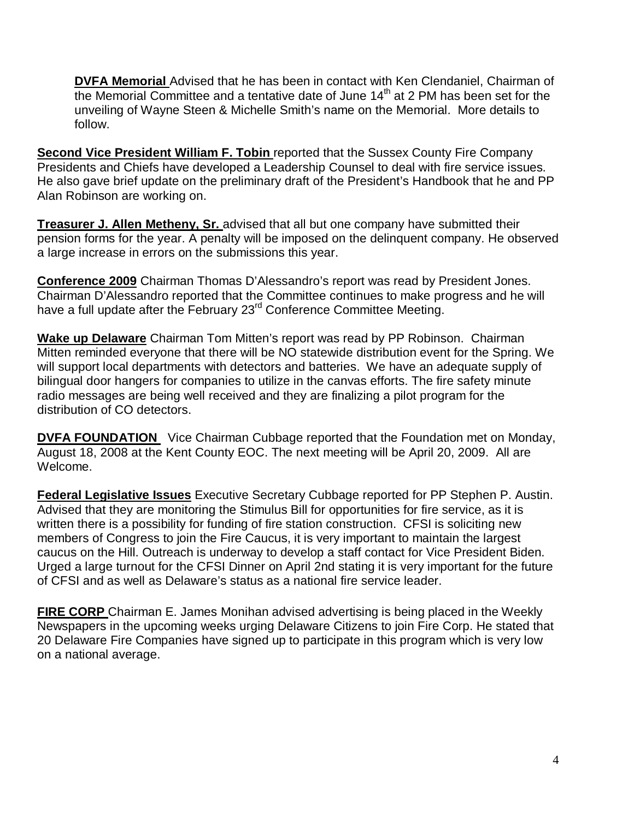**DVFA Memorial** Advised that he has been in contact with Ken Clendaniel, Chairman of the Memorial Committee and a tentative date of June  $14<sup>th</sup>$  at 2 PM has been set for the unveiling of Wayne Steen & Michelle Smith's name on the Memorial. More details to follow.

**Second Vice President William F. Tobin** reported that the Sussex County Fire Company Presidents and Chiefs have developed a Leadership Counsel to deal with fire service issues. He also gave brief update on the preliminary draft of the President's Handbook that he and PP Alan Robinson are working on.

**Treasurer J. Allen Metheny, Sr.** advised that all but one company have submitted their pension forms for the year. A penalty will be imposed on the delinquent company. He observed a large increase in errors on the submissions this year.

**Conference 2009** Chairman Thomas D'Alessandro's report was read by President Jones. Chairman D'Alessandro reported that the Committee continues to make progress and he will have a full update after the February 23<sup>rd</sup> Conference Committee Meeting.

**Wake up Delaware** Chairman Tom Mitten's report was read by PP Robinson. Chairman Mitten reminded everyone that there will be NO statewide distribution event for the Spring. We will support local departments with detectors and batteries. We have an adequate supply of bilingual door hangers for companies to utilize in the canvas efforts. The fire safety minute radio messages are being well received and they are finalizing a pilot program for the distribution of CO detectors.

**DVFA FOUNDATION** Vice Chairman Cubbage reported that the Foundation met on Monday, August 18, 2008 at the Kent County EOC. The next meeting will be April 20, 2009. All are Welcome.

**Federal Legislative Issues** Executive Secretary Cubbage reported for PP Stephen P. Austin. Advised that they are monitoring the Stimulus Bill for opportunities for fire service, as it is written there is a possibility for funding of fire station construction. CFSI is soliciting new members of Congress to join the Fire Caucus, it is very important to maintain the largest caucus on the Hill. Outreach is underway to develop a staff contact for Vice President Biden. Urged a large turnout for the CFSI Dinner on April 2nd stating it is very important for the future of CFSI and as well as Delaware's status as a national fire service leader.

**FIRE CORP** Chairman E. James Monihan advised advertising is being placed in the Weekly Newspapers in the upcoming weeks urging Delaware Citizens to join Fire Corp. He stated that 20 Delaware Fire Companies have signed up to participate in this program which is very low on a national average.